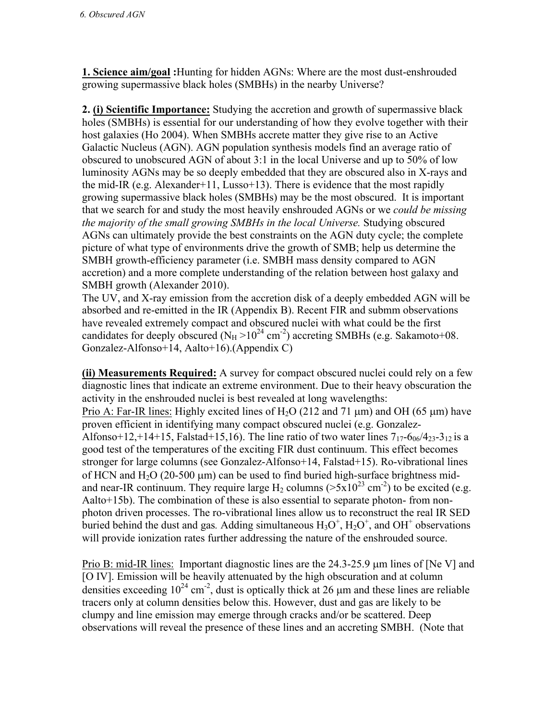**1. Science aim/goal :**Hunting for hidden AGNs: Where are the most dust-enshrouded growing supermassive black holes (SMBHs) in the nearby Universe?

**2. (i) Scientific Importance:** Studying the accretion and growth of supermassive black holes (SMBHs) is essential for our understanding of how they evolve together with their host galaxies (Ho 2004). When SMBHs accrete matter they give rise to an Active Galactic Nucleus (AGN). AGN population synthesis models find an average ratio of obscured to unobscured AGN of about 3:1 in the local Universe and up to 50% of low luminosity AGNs may be so deeply embedded that they are obscured also in X-rays and the mid-IR (e.g. Alexander+11, Lusso+13). There is evidence that the most rapidly growing supermassive black holes (SMBHs) may be the most obscured. It is important that we search for and study the most heavily enshrouded AGNs or we *could be missing the majority of the small growing SMBHs in the local Universe.* Studying obscured AGNs can ultimately provide the best constraints on the AGN duty cycle; the complete picture of what type of environments drive the growth of SMB; help us determine the SMBH growth-efficiency parameter (i.e. SMBH mass density compared to AGN accretion) and a more complete understanding of the relation between host galaxy and SMBH growth (Alexander 2010).

The UV, and X-ray emission from the accretion disk of a deeply embedded AGN will be absorbed and re-emitted in the IR (Appendix B). Recent FIR and submm observations have revealed extremely compact and obscured nuclei with what could be the first candidates for deeply obscured ( $N_H > 10^{24}$  cm<sup>-2</sup>) accreting SMBHs (e.g. Sakamoto+08. Gonzalez-Alfonso+14, Aalto+16).(Appendix C)

**(ii) Measurements Required:** A survey for compact obscured nuclei could rely on a few diagnostic lines that indicate an extreme environment. Due to their heavy obscuration the activity in the enshrouded nuclei is best revealed at long wavelengths:

Prio A: Far-IR lines: Highly excited lines of H<sub>2</sub>O (212 and 71  $\mu$ m) and OH (65  $\mu$ m) have proven efficient in identifying many compact obscured nuclei (e.g. Gonzalez-Alfonso+12,+14+15, Falstad+15,16). The line ratio of two water lines  $7_{17}$ -6<sub>06</sub>/4<sub>23</sub>-3<sub>12</sub> is a good test of the temperatures of the exciting FIR dust continuum. This effect becomes stronger for large columns (see Gonzalez-Alfonso+14, Falstad+15). Ro-vibrational lines of HCN and  $H<sub>2</sub>O$  (20-500  $\mu$ m) can be used to find buried high-surface brightness midand near-IR continuum. They require large  $H_2$  columns ( $> 5 \times 10^{23}$  cm<sup>-2</sup>) to be excited (e.g. Aalto+15b). The combination of these is also essential to separate photon- from nonphoton driven processes. The ro-vibrational lines allow us to reconstruct the real IR SED buried behind the dust and gas. Adding simultaneous  $H_3O^+$ ,  $H_2O^+$ , and  $OH^+$  observations will provide ionization rates further addressing the nature of the enshrouded source.

Prio B: mid-IR lines: Important diagnostic lines are the  $24.3$ - $25.9 \mu m$  lines of [Ne V] and [O IV]. Emission will be heavily attenuated by the high obscuration and at column densities exceeding  $10^{24}$  cm<sup>-2</sup>, dust is optically thick at 26  $\mu$ m and these lines are reliable tracers only at column densities below this. However, dust and gas are likely to be clumpy and line emission may emerge through cracks and/or be scattered. Deep observations will reveal the presence of these lines and an accreting SMBH. (Note that